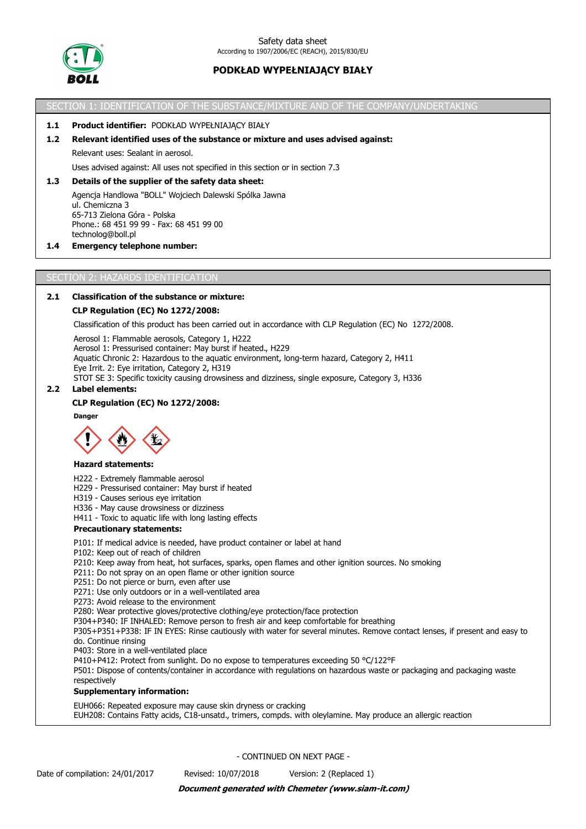

SECTION 1: IDENTIFICATION OF THE SUBSTANCE/MIXTURE AND OF THE COMPANY/UNDERTAKING

### **1.1 Product identifier:** PODKŁAD WYPEŁNIAJĄCY BIAŁY

### **1.2 Relevant identified uses of the substance or mixture and uses advised against:**

Relevant uses: Sealant in aerosol.

Uses advised against: All uses not specified in this section or in section 7.3

## **1.3 Details of the supplier of the safety data sheet:**

Agencja Handlowa "BOLL" Wojciech Dalewski Spólka Jawna ul. Chemiczna 3 65-713 Zielona Góra - Polska Phone.: 68 451 99 99 - Fax: 68 451 99 00 technolog@boll.pl

#### **1.4 Emergency telephone number:**

#### SECTION 2: HAZARDS IDENTIFICATION

## **2.1 Classification of the substance or mixture:**

#### **CLP Regulation (EC) No 1272/2008:**

Classification of this product has been carried out in accordance with CLP Regulation (EC) No 1272/2008.

Aerosol 1: Flammable aerosols, Category 1, H222 Aerosol 1: Pressurised container: May burst if heated., H229 Aquatic Chronic 2: Hazardous to the aquatic environment, long-term hazard, Category 2, H411 Eye Irrit. 2: Eye irritation, Category 2, H319 STOT SE 3: Specific toxicity causing drowsiness and dizziness, single exposure, Category 3, H336

#### **2.2 Label elements:**

#### **CLP Regulation (EC) No 1272/2008:**

**Danger**



#### **Hazard statements:**

H222 - Extremely flammable aerosol

- H229 Pressurised container: May burst if heated
- H319 Causes serious eye irritation
- H336 May cause drowsiness or dizziness
- H411 Toxic to aquatic life with long lasting effects

#### **Precautionary statements:**

P101: If medical advice is needed, have product container or label at hand

- P102: Keep out of reach of children
- P210: Keep away from heat, hot surfaces, sparks, open flames and other ignition sources. No smoking
- P211: Do not spray on an open flame or other ignition source
- P251: Do not pierce or burn, even after use
- P271: Use only outdoors or in a well-ventilated area
- P273: Avoid release to the environment
- P280: Wear protective gloves/protective clothing/eye protection/face protection
- P304+P340: IF INHALED: Remove person to fresh air and keep comfortable for breathing
- P305+P351+P338: IF IN EYES: Rinse cautiously with water for several minutes. Remove contact lenses, if present and easy to do. Continue rinsing
- P403: Store in a well-ventilated place
- P410+P412: Protect from sunlight. Do no expose to temperatures exceeding 50 °C/122°F

P501: Dispose of contents/container in accordance with regulations on hazardous waste or packaging and packaging waste respectively

#### **Supplementary information:**

EUH066: Repeated exposure may cause skin dryness or cracking

EUH208: Contains Fatty acids, C18-unsatd., trimers, compds. with oleylamine. May produce an allergic reaction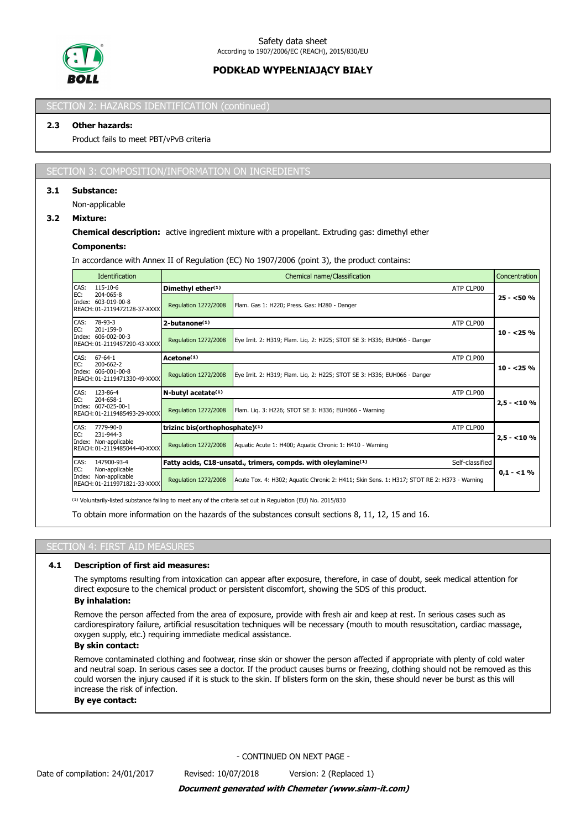

## SECTION 2: HAZARDS IDENTIFICATION (continued

## **2.3 Other hazards:**

Product fails to meet PBT/vPvB criteria

#### SECTION 3: COMPOSITION/INFORMATION ON INGREDIENTS

### **3.1 Substance:**

Non-applicable

## **3.2 Mixture:**

### **Chemical description:** active ingredient mixture with a propellant. Extruding gas: dimethyl ether

### **Components:**

In accordance with Annex II of Regulation (EC) No 1907/2006 (point 3), the product contains:

|               | <b>Identification</b>                                              |                                             | Chemical name/Classification                                                                 |             |  |  |  |
|---------------|--------------------------------------------------------------------|---------------------------------------------|----------------------------------------------------------------------------------------------|-------------|--|--|--|
| CAS:          | 115-10-6                                                           | Dimethyl ether(1)                           | ATP CLP00                                                                                    |             |  |  |  |
| EC:           | 204-065-8<br>Index: 603-019-00-8<br>REACH: 01-2119472128-37-XXXX   | <b>Regulation 1272/2008</b>                 | Flam. Gas 1: H220; Press. Gas: H280 - Danger                                                 | $25 - 50%$  |  |  |  |
| CAS:          | 78-93-3                                                            | 2-butanone <sup>(1)</sup>                   | ATP CLP00                                                                                    |             |  |  |  |
| EC:           | 201-159-0<br>Index: 606-002-00-3<br>REACH: 01-2119457290-43-XXXX   | Regulation 1272/2008                        | Eye Irrit. 2: H319; Flam. Lig. 2: H225; STOT SE 3: H336; EUH066 - Danger                     | $10 - 25%$  |  |  |  |
| CAS:          | $67 - 64 - 1$                                                      | Acetone <sup>(1)</sup>                      | ATP CLP00                                                                                    |             |  |  |  |
| EC:           | 200-662-2<br>Index: 606-001-00-8<br>REACH: 01-2119471330-49-XXXX   | <b>Regulation 1272/2008</b>                 | Eye Irrit. 2: H319; Flam. Lig. 2: H225; STOT SE 3: H336; EUH066 - Danger                     | $10 - 25%$  |  |  |  |
| CAS:          | 123-86-4                                                           | N-butyl acetate <sup>(1)</sup><br>ATP CLP00 |                                                                                              |             |  |  |  |
| EC:           | 204-658-1<br>Index: 607-025-00-1<br>REACH: 01-2119485493-29-XXXX   | Regulation 1272/2008                        | Flam. Liq. 3: H226; STOT SE 3: H336; EUH066 - Warning                                        | $2,5 - 10%$ |  |  |  |
| CAS:          | 7779-90-0                                                          | trizinc bis(orthophosphate)(1)              | ATP CLP00                                                                                    |             |  |  |  |
| EC:           | 231-944-3<br>Index: Non-applicable<br>REACH: 01-2119485044-40-XXXX | <b>Regulation 1272/2008</b>                 | Aquatic Acute 1: H400; Aquatic Chronic 1: H410 - Warning                                     | $2,5 - 10%$ |  |  |  |
| CAS:          | 147900-93-4                                                        |                                             | Fatty acids, C18-unsatd., trimers, compds. with oleylamine <sup>(1)</sup><br>Self-classified |             |  |  |  |
| EC:<br>Index: | Non-applicable<br>Non-applicable<br>REACH: 01-2119971821-33-XXXX   | <b>Regulation 1272/2008</b>                 | Acute Tox. 4: H302; Aquatic Chronic 2: H411; Skin Sens. 1: H317; STOT RE 2: H373 - Warning   | $0.1 - 1\%$ |  |  |  |

<sup>(1)</sup> Voluntarily-listed substance failing to meet any of the criteria set out in Regulation (EU) No. 2015/830

To obtain more information on the hazards of the substances consult sections 8, 11, 12, 15 and 16.

## SECTION 4: FIRST AID MEASURES

#### **4.1 Description of first aid measures:**

The symptoms resulting from intoxication can appear after exposure, therefore, in case of doubt, seek medical attention for direct exposure to the chemical product or persistent discomfort, showing the SDS of this product.

## **By inhalation:**

Remove the person affected from the area of exposure, provide with fresh air and keep at rest. In serious cases such as cardiorespiratory failure, artificial resuscitation techniques will be necessary (mouth to mouth resuscitation, cardiac massage, oxygen supply, etc.) requiring immediate medical assistance.

### **By skin contact:**

Remove contaminated clothing and footwear, rinse skin or shower the person affected if appropriate with plenty of cold water and neutral soap. In serious cases see a doctor. If the product causes burns or freezing, clothing should not be removed as this could worsen the injury caused if it is stuck to the skin. If blisters form on the skin, these should never be burst as this will increase the risk of infection.

#### **By eye contact:**

- CONTINUED ON NEXT PAGE -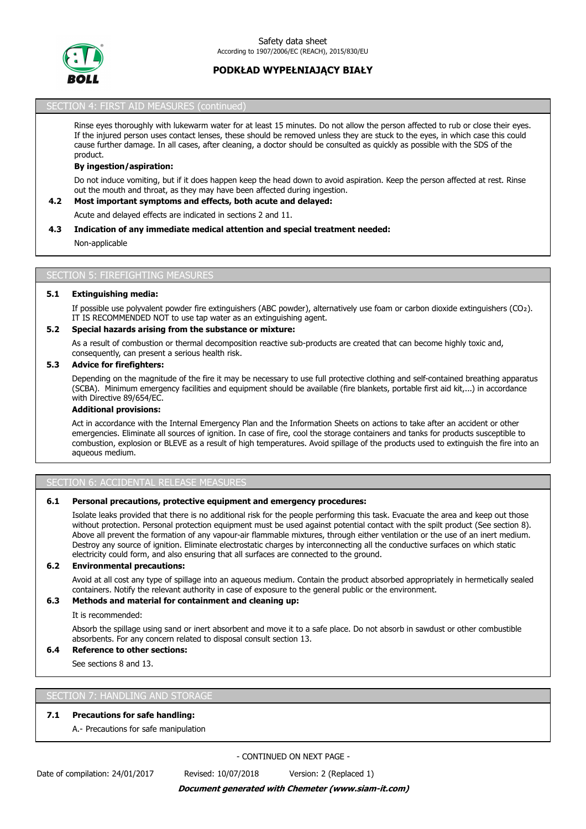

## SECTION 4: FIRST AID MEASURES (continued)

Rinse eyes thoroughly with lukewarm water for at least 15 minutes. Do not allow the person affected to rub or close their eyes. If the injured person uses contact lenses, these should be removed unless they are stuck to the eyes, in which case this could cause further damage. In all cases, after cleaning, a doctor should be consulted as quickly as possible with the SDS of the product.

#### **By ingestion/aspiration:**

Do not induce vomiting, but if it does happen keep the head down to avoid aspiration. Keep the person affected at rest. Rinse out the mouth and throat, as they may have been affected during ingestion.

#### **4.2 Most important symptoms and effects, both acute and delayed:**

Acute and delayed effects are indicated in sections 2 and 11.

#### **4.3 Indication of any immediate medical attention and special treatment needed:**

Non-applicable

#### **SECTION 5: FIREFIGHTING MEASURE**

#### **5.1 Extinguishing media:**

If possible use polyvalent powder fire extinguishers (ABC powder), alternatively use foam or carbon dioxide extinguishers (CO₂). IT IS RECOMMENDED NOT to use tap water as an extinguishing agent.

### **5.2 Special hazards arising from the substance or mixture:**

As a result of combustion or thermal decomposition reactive sub-products are created that can become highly toxic and, consequently, can present a serious health risk.

### **5.3 Advice for firefighters:**

Depending on the magnitude of the fire it may be necessary to use full protective clothing and self-contained breathing apparatus (SCBA). Minimum emergency facilities and equipment should be available (fire blankets, portable first aid kit,...) in accordance with Directive 89/654/EC.

### **Additional provisions:**

Act in accordance with the Internal Emergency Plan and the Information Sheets on actions to take after an accident or other emergencies. Eliminate all sources of ignition. In case of fire, cool the storage containers and tanks for products susceptible to combustion, explosion or BLEVE as a result of high temperatures. Avoid spillage of the products used to extinguish the fire into an aqueous medium.

## SECTION 6: ACCIDENTAL RELEASE MEASURES

### **6.1 Personal precautions, protective equipment and emergency procedures:**

Isolate leaks provided that there is no additional risk for the people performing this task. Evacuate the area and keep out those without protection. Personal protection equipment must be used against potential contact with the spilt product (See section 8). Above all prevent the formation of any vapour-air flammable mixtures, through either ventilation or the use of an inert medium. Destroy any source of ignition. Eliminate electrostatic charges by interconnecting all the conductive surfaces on which static electricity could form, and also ensuring that all surfaces are connected to the ground.

## **6.2 Environmental precautions:**

Avoid at all cost any type of spillage into an aqueous medium. Contain the product absorbed appropriately in hermetically sealed containers. Notify the relevant authority in case of exposure to the general public or the environment.

## **6.3 Methods and material for containment and cleaning up:**

It is recommended:

Absorb the spillage using sand or inert absorbent and move it to a safe place. Do not absorb in sawdust or other combustible absorbents. For any concern related to disposal consult section 13.

### **6.4 Reference to other sections:**

See sections 8 and 13.

#### SECTION 7: HANDLING AND STORAG

#### **7.1 Precautions for safe handling:**

A.- Precautions for safe manipulation

- CONTINUED ON NEXT PAGE -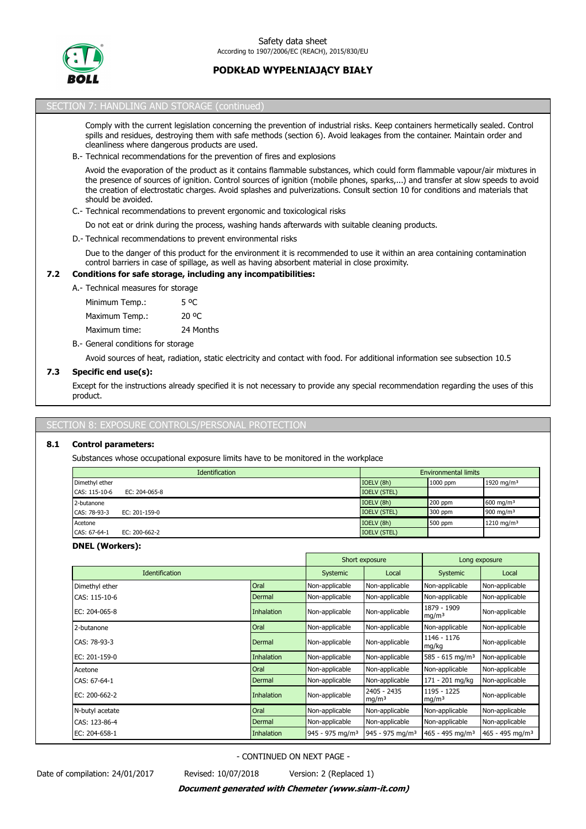

# SECTION 7: HANDLING AND STORAGE (continued) Comply with the current legislation concerning the prevention of industrial risks. Keep containers hermetically sealed. Control spills and residues, destroying them with safe methods (section 6). Avoid leakages from the container. Maintain order and cleanliness where dangerous products are used. B.- Technical recommendations for the prevention of fires and explosions Avoid the evaporation of the product as it contains flammable substances, which could form flammable vapour/air mixtures in the presence of sources of ignition. Control sources of ignition (mobile phones, sparks,...) and transfer at slow speeds to avoid the creation of electrostatic charges. Avoid splashes and pulverizations. Consult section 10 for conditions and materials that should be avoided. C.- Technical recommendations to prevent ergonomic and toxicological risks Do not eat or drink during the process, washing hands afterwards with suitable cleaning products. D.- Technical recommendations to prevent environmental risks Due to the danger of this product for the environment it is recommended to use it within an area containing contamination control barriers in case of spillage, as well as having absorbent material in close proximity. **7.2 Conditions for safe storage, including any incompatibilities:** A.- Technical measures for storage B.- General conditions for storage Avoid sources of heat, radiation, static electricity and contact with food. For additional information see subsection 10.5 **7.3 Specific end use(s):** Minimum Temp.: 5 °C Maximum Temp.: 20 °C Maximum time: 24 Months

Except for the instructions already specified it is not necessary to provide any special recommendation regarding the uses of this product.

# EXPOSURE CONTROLS/PERSONAL PROTE

# **8.1 Control parameters:**

Substances whose occupational exposure limits have to be monitored in the workplace

|                | <b>Identification</b> | <b>Environmental limits</b> |           |                        |  |
|----------------|-----------------------|-----------------------------|-----------|------------------------|--|
| Dimethyl ether |                       | IOELV (8h)                  | 1000 ppm  | 1920 mg/m <sup>3</sup> |  |
| CAS: 115-10-6  | EC: $204-065-8$       | <b>IOELV (STEL)</b>         |           |                        |  |
| 2-butanone     |                       | IOELV (8h)                  | $200$ ppm | 600 mg/m <sup>3</sup>  |  |
| CAS: 78-93-3   | EC: 201-159-0         | <b>IOELV (STEL)</b>         | 300 ppm   | 900 mg/m $3$           |  |
| Acetone        |                       | IOELV (8h)                  | 500 ppm   | 1210 mg/m <sup>3</sup> |  |
| CAS: 67-64-1   | EC: 200-662-2         | <b>IOELV (STEL)</b>         |           |                        |  |

## **DNEL (Workers):**

|                       |                   | Short exposure              |                                  | Long exposure                    |                               |
|-----------------------|-------------------|-----------------------------|----------------------------------|----------------------------------|-------------------------------|
| <b>Identification</b> | <b>Systemic</b>   | Local                       | <b>Systemic</b>                  | Local                            |                               |
| Dimethyl ether        | Oral              | Non-applicable              | Non-applicable                   | Non-applicable                   | Non-applicable                |
| CAS: 115-10-6         | Dermal            | Non-applicable              | Non-applicable                   | Non-applicable                   | Non-applicable                |
| EC: 204-065-8         | Inhalation        | Non-applicable              | Non-applicable                   | 1879 - 1909<br>mq/m <sup>3</sup> | Non-applicable                |
| 2-butanone            | Oral              | Non-applicable              | Non-applicable                   | Non-applicable                   | Non-applicable                |
| CAS: 78-93-3          | Dermal            | Non-applicable              | Non-applicable                   | 1146 - 1176<br>mg/kg             | Non-applicable                |
| EC: 201-159-0         | Inhalation        | Non-applicable              | Non-applicable                   | $585 - 615$ mg/m <sup>3</sup>    | Non-applicable                |
| Acetone               | Oral              | Non-applicable              | Non-applicable                   | Non-applicable                   | Non-applicable                |
| CAS: 67-64-1          | Dermal            | Non-applicable              | Non-applicable                   | 171 - 201 mg/kg                  | Non-applicable                |
| EC: 200-662-2         | Inhalation        | Non-applicable              | 2405 - 2435<br>mg/m <sup>3</sup> | 1195 - 1225<br>mq/m <sup>3</sup> | Non-applicable                |
| N-butyl acetate       | Oral              | Non-applicable              | Non-applicable                   | Non-applicable                   | Non-applicable                |
| CAS: 123-86-4         | Dermal            | Non-applicable              | Non-applicable                   | Non-applicable                   | Non-applicable                |
| EC: 204-658-1         | <b>Inhalation</b> | 945 - 975 mg/m <sup>3</sup> | 945 - 975 mg/m <sup>3</sup>      | $465 - 495$ mg/m <sup>3</sup>    | $465 - 495$ mg/m <sup>3</sup> |

- CONTINUED ON NEXT PAGE -

Date of compilation: 24/01/2017 Revised: 10/07/2018 Version: 2 (Replaced 1)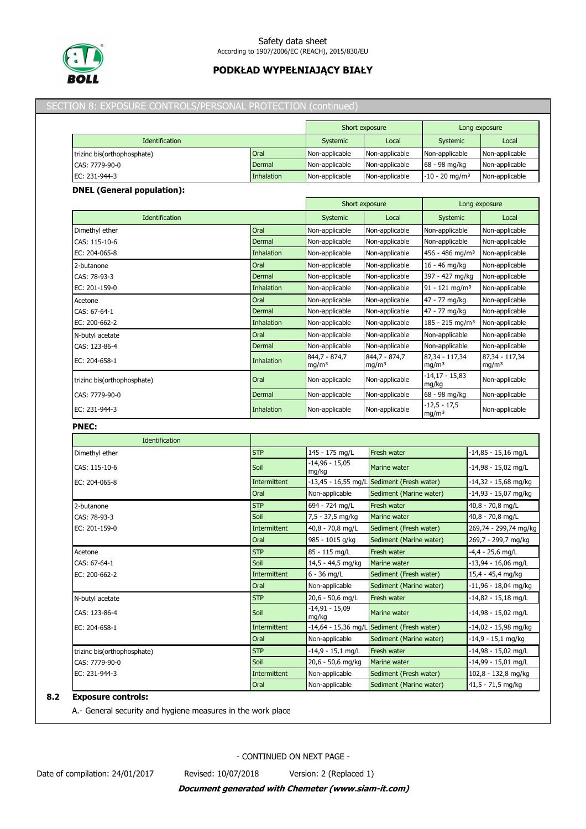

### Safety data sheet According to 1907/2006/EC (REACH), 2015/830/EU

# **PODKŁAD WYPEŁNIAJĄCY BIAŁY**

## SECTION 8: EXPOSURE CONTROLS/PERSONAL PROTECTION (continued)

|                             |            | Short exposure |                | Long exposure                |                |
|-----------------------------|------------|----------------|----------------|------------------------------|----------------|
| Identification              |            | Systemic       | Local          | Systemic                     | Local          |
| trizinc bis(orthophosphate) | Oral       | Non-applicable | Non-applicable | Non-applicable               | Non-applicable |
| CAS: 7779-90-0              | Dermal     | Non-applicable | Non-applicable | 68 - 98 mg/kg                | Non-applicable |
| EC: 231-944-3               | Inhalation | Non-applicable | Non-applicable | $-10 - 20$ mg/m <sup>3</sup> | Non-applicable |

### **DNEL (General population):**

|                             |                   | Short exposure                     |                                    | Long exposure                       |                                     |
|-----------------------------|-------------------|------------------------------------|------------------------------------|-------------------------------------|-------------------------------------|
| Identification              |                   | Systemic                           | Local                              | Systemic                            | Local                               |
| Dimethyl ether              | Oral              | Non-applicable                     | Non-applicable                     | Non-applicable                      | Non-applicable                      |
| CAS: 115-10-6               | Dermal            | Non-applicable                     | Non-applicable                     | Non-applicable                      | Non-applicable                      |
| EC: 204-065-8               | <b>Inhalation</b> | Non-applicable                     | Non-applicable                     | 456 - 486 mg/m <sup>3</sup>         | Non-applicable                      |
| 2-butanone                  | Oral              | Non-applicable                     | Non-applicable                     | 16 - 46 mg/kg                       | Non-applicable                      |
| CAS: 78-93-3                | Dermal            | Non-applicable                     | Non-applicable                     | 397 - 427 mg/kg                     | Non-applicable                      |
| EC: 201-159-0               | <b>Inhalation</b> | Non-applicable                     | Non-applicable                     | $91 - 121$ mg/m <sup>3</sup>        | Non-applicable                      |
| Acetone                     | Oral              | Non-applicable                     | Non-applicable                     | 47 - 77 mg/kg                       | Non-applicable                      |
| CAS: 67-64-1                | Dermal            | Non-applicable                     | Non-applicable                     | 47 - 77 mg/kg                       | Non-applicable                      |
| EC: 200-662-2               | <b>Inhalation</b> | Non-applicable                     | Non-applicable                     | $185 - 215$ mg/m <sup>3</sup>       | Non-applicable                      |
| N-butyl acetate             | Oral              | Non-applicable                     | Non-applicable                     | Non-applicable                      | Non-applicable                      |
| CAS: 123-86-4               | Dermal            | Non-applicable                     | Non-applicable                     | Non-applicable                      | Non-applicable                      |
| EC: 204-658-1               | <b>Inhalation</b> | 844,7 - 874,7<br>mg/m <sup>3</sup> | 844,7 - 874,7<br>mg/m <sup>3</sup> | 87,34 - 117,34<br>mg/m <sup>3</sup> | 87,34 - 117,34<br>mg/m <sup>3</sup> |
| trizinc bis(orthophosphate) | Oral              | Non-applicable                     | Non-applicable                     | -14,17 - 15,83<br>mg/kg             | Non-applicable                      |
| CAS: 7779-90-0              | Dermal            | Non-applicable                     | Non-applicable                     | 68 - 98 mg/kg                       | Non-applicable                      |
| EC: 231-944-3               | <b>Inhalation</b> | Non-applicable                     | Non-applicable                     | $-12,5 - 17,5$<br>mg/m <sup>3</sup> | Non-applicable                      |

## **PNEC:**

| Identification              |                     |                           |                                            |                        |
|-----------------------------|---------------------|---------------------------|--------------------------------------------|------------------------|
| Dimethyl ether              | <b>STP</b>          | 145 - 175 mg/L            | Fresh water                                | $-14,85 - 15,16$ mg/L  |
| CAS: 115-10-6               | Soil                | $-14,96 - 15,05$<br>mg/kg | Marine water                               | $-14,98 - 15,02$ mg/L  |
| EC: 204-065-8               | <b>Intermittent</b> |                           | -13,45 - 16,55 mg/L Sediment (Fresh water) | $-14,32 - 15,68$ mg/kg |
|                             | Oral                | Non-applicable            | Sediment (Marine water)                    | -14,93 - 15,07 mg/kg   |
| 2-butanone                  | <b>STP</b>          | 694 - 724 mg/L            | Fresh water                                | 40,8 - 70,8 mg/L       |
| CAS: 78-93-3                | Soil                | 7,5 - 37,5 mg/kg          | Marine water                               | 40,8 - 70,8 mg/L       |
| EC: 201-159-0               | <b>Intermittent</b> | 40,8 - 70,8 mg/L          | Sediment (Fresh water)                     | 269,74 - 299,74 mg/kg  |
|                             | Oral                | 985 - 1015 g/kg           | Sediment (Marine water)                    | 269,7 - 299,7 mg/kg    |
| Acetone                     | <b>STP</b>          | 85 - 115 mg/L             | Fresh water                                | $-4,4 - 25,6$ mg/L     |
| CAS: 67-64-1                | Soil                | 14,5 - 44,5 mg/kg         | <b>Marine water</b>                        | $-13,94 - 16,06$ mg/L  |
| EC: 200-662-2               | <b>Intermittent</b> | $6 - 36$ mg/L             | Sediment (Fresh water)                     | 15,4 - 45,4 mg/kg      |
|                             | Oral                | Non-applicable            | Sediment (Marine water)                    | $-11,96 - 18,04$ mg/kg |
| N-butyl acetate             | <b>STP</b>          | 20,6 - 50,6 mg/L          | Fresh water                                | $-14,82 - 15,18$ mg/L  |
| CAS: 123-86-4               | Soil                | -14,91 - 15,09<br>mg/kg   | Marine water                               | -14,98 - 15,02 mg/L    |
| EC: 204-658-1               | <b>Intermittent</b> |                           | -14,64 - 15,36 mg/L Sediment (Fresh water) | $-14,02 - 15,98$ mg/kg |
|                             | Oral                | Non-applicable            | Sediment (Marine water)                    | -14,9 - 15,1 mg/kg     |
| trizinc bis(orthophosphate) | <b>STP</b>          | $-14,9 - 15,1$ mg/L       | Fresh water                                | -14,98 - 15,02 mg/L    |
| CAS: 7779-90-0              | Soil                | 20,6 - 50,6 mg/kg         | Marine water                               | -14,99 - 15,01 mg/L    |
| EC: 231-944-3               | <b>Intermittent</b> | Non-applicable            | Sediment (Fresh water)                     | 102,8 - 132,8 mg/kg    |
|                             | Oral                | Non-applicable            | Sediment (Marine water)                    | 41,5 - 71,5 mg/kg      |

## **8.2 Exposure controls:**

A.- General security and hygiene measures in the work place

- CONTINUED ON NEXT PAGE -

Date of compilation: 24/01/2017 Revised: 10/07/2018 Version: 2 (Replaced 1)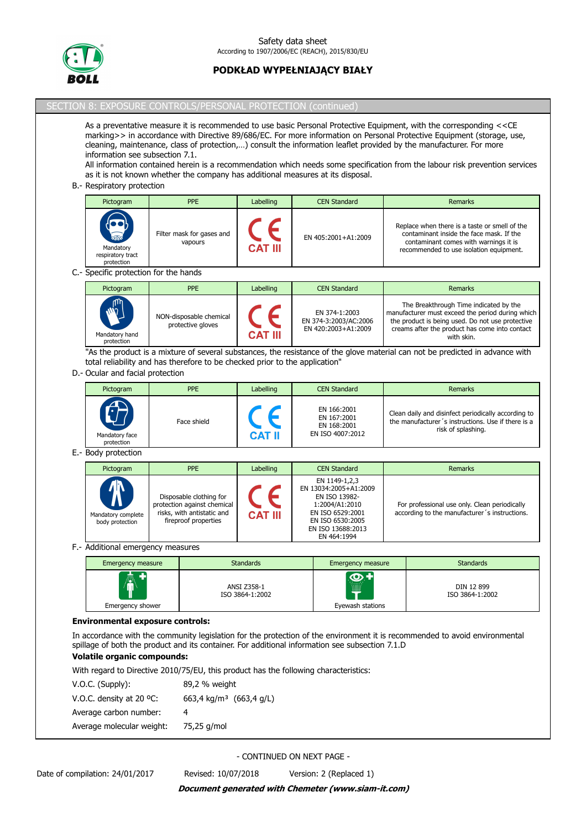

## SECTION 8: EXPOSURE CONTROLS/PERSONAL PROTECTION (continued)

As a preventative measure it is recommended to use basic Personal Protective Equipment, with the corresponding <<CE marking>> in accordance with Directive 89/686/EC. For more information on Personal Protective Equipment (storage, use, cleaning, maintenance, class of protection,…) consult the information leaflet provided by the manufacturer. For more information see subsection 7.1.

All information contained herein is a recommendation which needs some specification from the labour risk prevention services as it is not known whether the company has additional measures at its disposal.

#### B.- Respiratory protection

| Pictogram                                    |                       | <b>PPE</b>                           | Labelling      | <b>CEN Standard</b> | Remarks                                                                                                                                                                       |
|----------------------------------------------|-----------------------|--------------------------------------|----------------|---------------------|-------------------------------------------------------------------------------------------------------------------------------------------------------------------------------|
| Mandatory<br>respiratory tract<br>protection | $\sum_{n=1}^{\infty}$ | Filter mask for gases and<br>vapours | <b>CAT III</b> | EN 405:2001+A1:2009 | Replace when there is a taste or smell of the<br>contaminant inside the face mask. If the<br>contaminant comes with warnings it is<br>recommended to use isolation equipment. |

#### C.- Specific protection for the hands

| Pictogram                                   | <b>PPE</b>                                   | Labelling | <b>CEN Standard</b>                                           | <b>Remarks</b>                                                                                                                                                                                                 |
|---------------------------------------------|----------------------------------------------|-----------|---------------------------------------------------------------|----------------------------------------------------------------------------------------------------------------------------------------------------------------------------------------------------------------|
| <b>ALLA</b><br>Mandatory hand<br>protection | NON-disposable chemical<br>protective gloves | CAT III   | EN 374-1:2003<br>EN 374-3:2003/AC:2006<br>EN 420:2003+A1:2009 | The Breakthrough Time indicated by the<br>manufacturer must exceed the period during which<br>the product is being used. Do not use protective<br>creams after the product has come into contact<br>with skin. |

"As the product is a mixture of several substances, the resistance of the glove material can not be predicted in advance with total reliability and has therefore to be checked prior to the application"

## D.- Ocular and facial protection

| Pictogram                                  | <b>PPE</b>  | Labelling      | <b>CEN Standard</b>                                           | Remarks                                                                                                                         |
|--------------------------------------------|-------------|----------------|---------------------------------------------------------------|---------------------------------------------------------------------------------------------------------------------------------|
| $\sqrt{ }$<br>Mandatory face<br>protection | Face shield | <b>CAT I</b> I | EN 166:2001<br>EN 167:2001<br>EN 168:2001<br>EN ISO 4007:2012 | Clean daily and disinfect periodically according to<br>the manufacturer's instructions. Use if there is a<br>risk of splashing. |

## E.- Body protection

| Pictogram                                                | <b>PPE</b>                                                                                                   | Labelling      | <b>CEN Standard</b>                                                                                                                                   | Remarks                                                                                        |
|----------------------------------------------------------|--------------------------------------------------------------------------------------------------------------|----------------|-------------------------------------------------------------------------------------------------------------------------------------------------------|------------------------------------------------------------------------------------------------|
| $\pmb{\Lambda}$<br>Mandatory complete<br>body protection | Disposable clothing for<br>protection against chemical<br>risks, with antistatic and<br>fireproof properties | <b>CAT III</b> | EN 1149-1,2,3<br>EN 13034:2005+A1:2009<br>EN ISO 13982-<br>1:2004/A1:2010<br>EN ISO 6529:2001<br>EN ISO 6530:2005<br>EN ISO 13688:2013<br>EN 464:1994 | For professional use only. Clean periodically<br>according to the manufacturer's instructions. |

### F.- Additional emergency measures

| <b>Emergency measure</b> | <b>Standards</b>               | Emergency measure    | <b>Standards</b>              |
|--------------------------|--------------------------------|----------------------|-------------------------------|
| AV<br>ш                  | ANSI Z358-1<br>ISO 3864-1:2002 | $\bigcirc$<br>.<br>▦ | DIN 12 899<br>ISO 3864-1:2002 |
| Emergency shower         |                                | Eyewash stations     |                               |

## **Environmental exposure controls:**

In accordance with the community legislation for the protection of the environment it is recommended to avoid environmental spillage of both the product and its container. For additional information see subsection 7.1.D

## **Volatile organic compounds:**

With regard to Directive 2010/75/EU, this product has the following characteristics:

| $V.O.C.$ (Supply):        | 89,2 % weight                       |
|---------------------------|-------------------------------------|
| V.O.C. density at 20 °C:  | 663,4 kg/m <sup>3</sup> (663,4 g/L) |
| Average carbon number:    | 4                                   |
| Average molecular weight: | 75,25 g/mol                         |
|                           |                                     |

- CONTINUED ON NEXT PAGE -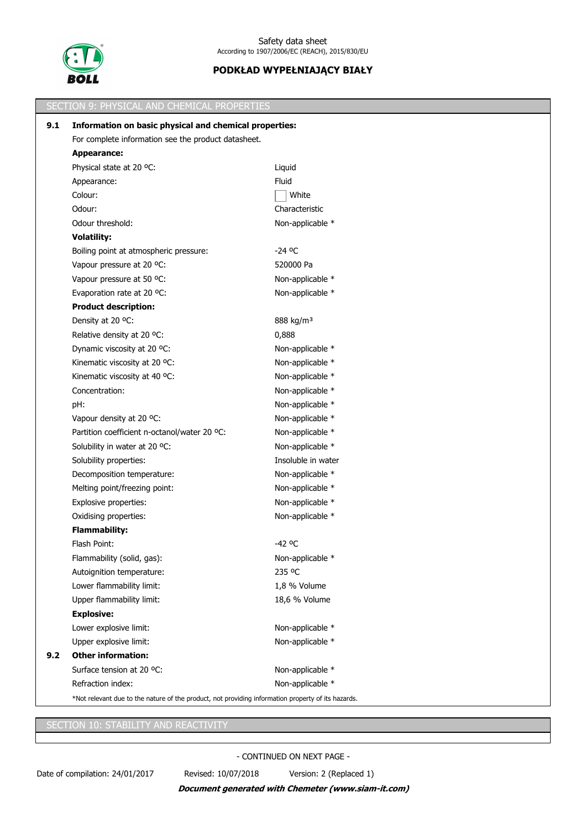

|     | SECTION 9: PHYSICAL AND CHEMICAL PROPERTIES                                                        |                       |  |  |
|-----|----------------------------------------------------------------------------------------------------|-----------------------|--|--|
| 9.1 | Information on basic physical and chemical properties:                                             |                       |  |  |
|     | For complete information see the product datasheet.                                                |                       |  |  |
|     | <b>Appearance:</b>                                                                                 |                       |  |  |
|     | Physical state at 20 °C:                                                                           | Liquid                |  |  |
|     | Appearance:                                                                                        | Fluid                 |  |  |
|     | Colour:                                                                                            | White                 |  |  |
|     | Odour:                                                                                             | Characteristic        |  |  |
|     | Odour threshold:                                                                                   | Non-applicable *      |  |  |
|     | <b>Volatility:</b>                                                                                 |                       |  |  |
|     | Boiling point at atmospheric pressure:                                                             | $-24$ °C              |  |  |
|     | Vapour pressure at 20 °C:                                                                          | 520000 Pa             |  |  |
|     | Vapour pressure at 50 °C:                                                                          | Non-applicable *      |  |  |
|     | Evaporation rate at 20 °C:                                                                         | Non-applicable *      |  |  |
|     | <b>Product description:</b>                                                                        |                       |  |  |
|     | Density at 20 °C:                                                                                  | 888 kg/m <sup>3</sup> |  |  |
|     | Relative density at 20 °C:                                                                         | 0,888                 |  |  |
|     | Dynamic viscosity at 20 °C:                                                                        | Non-applicable *      |  |  |
|     | Kinematic viscosity at 20 °C:                                                                      | Non-applicable *      |  |  |
|     | Kinematic viscosity at 40 °C:                                                                      | Non-applicable *      |  |  |
|     | Concentration:                                                                                     | Non-applicable *      |  |  |
|     | pH:                                                                                                | Non-applicable *      |  |  |
|     | Vapour density at 20 °C:                                                                           | Non-applicable *      |  |  |
|     | Partition coefficient n-octanol/water 20 °C:                                                       | Non-applicable *      |  |  |
|     | Solubility in water at 20 °C:                                                                      | Non-applicable *      |  |  |
|     | Solubility properties:                                                                             | Insoluble in water    |  |  |
|     | Decomposition temperature:                                                                         | Non-applicable *      |  |  |
|     | Melting point/freezing point:                                                                      | Non-applicable *      |  |  |
|     | Explosive properties:                                                                              | Non-applicable *      |  |  |
|     | Oxidising properties:                                                                              | Non-applicable *      |  |  |
|     | <b>Flammability:</b>                                                                               |                       |  |  |
|     | Flash Point:                                                                                       | -42 °C                |  |  |
|     | Flammability (solid, gas):                                                                         | Non-applicable *      |  |  |
|     | Autoignition temperature:                                                                          | 235 °C                |  |  |
|     | Lower flammability limit:                                                                          | 1,8 % Volume          |  |  |
|     | Upper flammability limit:                                                                          | 18,6 % Volume         |  |  |
|     | <b>Explosive:</b>                                                                                  |                       |  |  |
|     | Lower explosive limit:                                                                             | Non-applicable *      |  |  |
|     | Upper explosive limit:                                                                             | Non-applicable *      |  |  |
| 9.2 | <b>Other information:</b>                                                                          |                       |  |  |
|     | Surface tension at 20 °C:                                                                          | Non-applicable *      |  |  |
|     | Refraction index:                                                                                  | Non-applicable *      |  |  |
|     | *Not relevant due to the nature of the product, not providing information property of its hazards. |                       |  |  |

SECTION 10: STABILITY AND REACTIVITY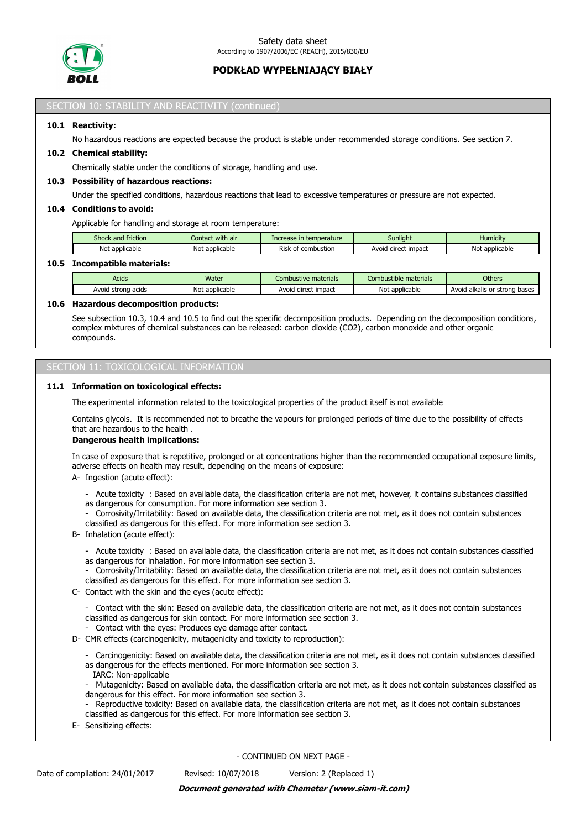

#### SECTION 10: STABILITY AND REACTIVITY (continued)

## **10.1 Reactivity:**

No hazardous reactions are expected because the product is stable under recommended storage conditions. See section 7.

## **10.2 Chemical stability:**

Chemically stable under the conditions of storage, handling and use.

#### **10.3 Possibility of hazardous reactions:**

Under the specified conditions, hazardous reactions that lead to excessive temperatures or pressure are not expected.

#### **10.4 Conditions to avoid:**

Applicable for handling and storage at room temperature:

| Shock and friction | with air<br>Contact         | Increase in temperature    | Sunliaht                      | Humidity            |
|--------------------|-----------------------------|----------------------------|-------------------------------|---------------------|
| Not applicable     | ימות<br>t applicable<br>NOI | Risk<br>combustion<br>. nt | : impact<br>Avoic<br>' direct | Not<br>* applicable |
|                    |                             |                            |                               |                     |

## **10.5 Incompatible materials:**

| Acids                    | Water                 | Combustive materials      | Combustible materials | <b>Others</b>                      |
|--------------------------|-----------------------|---------------------------|-----------------------|------------------------------------|
| acids<br>strona<br>Avoid | t applicable<br>י שטע | impact<br>Avoig<br>direct | Not applicable        | Avoid<br>I alkalis or strong bases |

#### **10.6 Hazardous decomposition products:**

See subsection 10.3, 10.4 and 10.5 to find out the specific decomposition products. Depending on the decomposition conditions, complex mixtures of chemical substances can be released: carbon dioxide (CO2), carbon monoxide and other organic compounds.

## SECTION 11: TOXICOLOGICAL INFORMATION

#### **11.1 Information on toxicological effects:**

The experimental information related to the toxicological properties of the product itself is not available

Contains glycols. It is recommended not to breathe the vapours for prolonged periods of time due to the possibility of effects that are hazardous to the health .

#### **Dangerous health implications:**

In case of exposure that is repetitive, prolonged or at concentrations higher than the recommended occupational exposure limits, adverse effects on health may result, depending on the means of exposure:

A- Ingestion (acute effect):

- Acute toxicity : Based on available data, the classification criteria are not met, however, it contains substances classified
- as dangerous for consumption. For more information see section 3.
- Corrosivity/Irritability: Based on available data, the classification criteria are not met, as it does not contain substances classified as dangerous for this effect. For more information see section 3.
- B- Inhalation (acute effect):
	- Acute toxicity : Based on available data, the classification criteria are not met, as it does not contain substances classified as dangerous for inhalation. For more information see section 3.
	- Corrosivity/Irritability: Based on available data, the classification criteria are not met, as it does not contain substances classified as dangerous for this effect. For more information see section 3.
- C- Contact with the skin and the eyes (acute effect):
	- Contact with the skin: Based on available data, the classification criteria are not met, as it does not contain substances classified as dangerous for skin contact. For more information see section 3.
	- Contact with the eyes: Produces eye damage after contact.
- D- CMR effects (carcinogenicity, mutagenicity and toxicity to reproduction):
	- Carcinogenicity: Based on available data, the classification criteria are not met, as it does not contain substances classified as dangerous for the effects mentioned. For more information see section 3.
	- IARC: Non-applicable
	- Mutagenicity: Based on available data, the classification criteria are not met, as it does not contain substances classified as dangerous for this effect. For more information see section 3.
	- Reproductive toxicity: Based on available data, the classification criteria are not met, as it does not contain substances classified as dangerous for this effect. For more information see section 3.
- E- Sensitizing effects: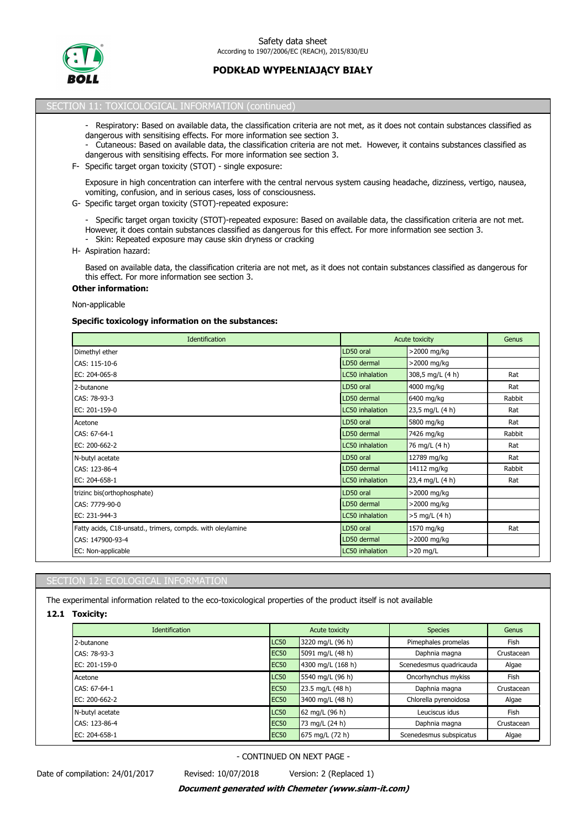

## SECTION 11: TOXICOLOGICAL INFORMATION (continued)

- Respiratory: Based on available data, the classification criteria are not met, as it does not contain substances classified as dangerous with sensitising effects. For more information see section 3.
- Cutaneous: Based on available data, the classification criteria are not met. However, it contains substances classified as dangerous with sensitising effects. For more information see section 3.
- F- Specific target organ toxicity (STOT) single exposure:

Exposure in high concentration can interfere with the central nervous system causing headache, dizziness, vertigo, nausea, vomiting, confusion, and in serious cases, loss of consciousness.

- G- Specific target organ toxicity (STOT)-repeated exposure:
	- Specific target organ toxicity (STOT)-repeated exposure: Based on available data, the classification criteria are not met. However, it does contain substances classified as dangerous for this effect. For more information see section 3.
	- Skin: Repeated exposure may cause skin dryness or cracking
- H- Aspiration hazard:

Based on available data, the classification criteria are not met, as it does not contain substances classified as dangerous for this effect. For more information see section 3.

# **Other information:**

Non-applicable

#### **Specific toxicology information on the substances:**

| <b>Identification</b>                                      |                 | Acute toxicity   |        |
|------------------------------------------------------------|-----------------|------------------|--------|
| Dimethyl ether                                             | LD50 oral       | >2000 mg/kg      |        |
| CAS: 115-10-6                                              | LD50 dermal     | >2000 mg/kg      |        |
| EC: 204-065-8                                              | LC50 inhalation | 308,5 mg/L (4 h) | Rat    |
| 2-butanone                                                 | LD50 oral       | 4000 mg/kg       | Rat    |
| CAS: 78-93-3                                               | LD50 dermal     | 6400 mg/kg       | Rabbit |
| EC: 201-159-0                                              | LC50 inhalation | 23,5 mg/L (4 h)  | Rat    |
| Acetone                                                    | LD50 oral       | 5800 mg/kg       | Rat    |
| CAS: 67-64-1                                               | LD50 dermal     | 7426 mg/kg       | Rabbit |
| EC: 200-662-2                                              | LC50 inhalation | 76 mg/L (4 h)    | Rat    |
| N-butyl acetate                                            | LD50 oral       | 12789 mg/kg      | Rat    |
| CAS: 123-86-4                                              | LD50 dermal     | 14112 mg/kg      | Rabbit |
| EC: 204-658-1                                              | LC50 inhalation | 23,4 mg/L (4 h)  | Rat    |
| trizinc bis(orthophosphate)                                | LD50 oral       | >2000 mg/kg      |        |
| CAS: 7779-90-0                                             | LD50 dermal     | >2000 mg/kg      |        |
| EC: 231-944-3                                              | LC50 inhalation | >5 mg/L (4 h)    |        |
| Fatty acids, C18-unsatd., trimers, compds. with oleylamine | LD50 oral       | 1570 mg/kg       | Rat    |
| CAS: 147900-93-4                                           | LD50 dermal     | >2000 mg/kg      |        |
| EC: Non-applicable                                         | LC50 inhalation | $>20$ mg/L       |        |

## SECTION 12: ECOLOGICAL INFORMATION

The experimental information related to the eco-toxicological properties of the product itself is not available

**12.1 Toxicity:**

| <b>Identification</b> |             | Acute toxicity                      | <b>Species</b>          | Genus      |  |
|-----------------------|-------------|-------------------------------------|-------------------------|------------|--|
| 2-butanone            | <b>LC50</b> | 3220 mg/L (96 h)                    | Pimephales promelas     | Fish       |  |
| CAS: 78-93-3          | <b>EC50</b> | 5091 mg/L (48 h)                    | Daphnia magna           | Crustacean |  |
| EC: 201-159-0         | <b>EC50</b> | 4300 mg/L (168 h)                   | Scenedesmus quadricauda | Algae      |  |
| Acetone               | <b>LC50</b> | 5540 mg/L (96 h)                    | Oncorhynchus mykiss     | Fish       |  |
| CAS: 67-64-1          | <b>EC50</b> | 23.5 mg/L (48 h)                    | Daphnia magna           | Crustacean |  |
| EC: 200-662-2         | <b>EC50</b> | 3400 mg/L (48 h)                    | Chlorella pyrenoidosa   | Algae      |  |
| N-butyl acetate       | <b>LC50</b> | 62 mg/L $(96 h)$                    | Leuciscus idus          | Fish       |  |
| CAS: 123-86-4         | <b>EC50</b> | 73 mg/L (24 h)                      | Daphnia magna           | Crustacean |  |
| EC: 204-658-1         | <b>EC50</b> | $(675 \text{ mg/L} (72 \text{ h}))$ | Scenedesmus subspicatus | Algae      |  |

- CONTINUED ON NEXT PAGE -

Date of compilation: 24/01/2017 Revised: 10/07/2018 Version: 2 (Replaced 1)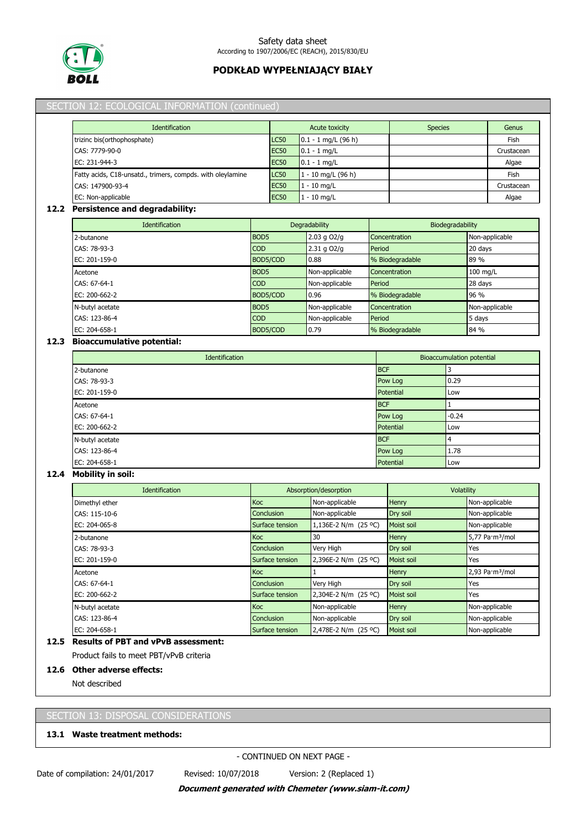

|                                           | Identification                                             |                  | <b>Acute toxicity</b> |            | <b>Species</b>  |                                  | Genus                                 |
|-------------------------------------------|------------------------------------------------------------|------------------|-----------------------|------------|-----------------|----------------------------------|---------------------------------------|
| trizinc bis(orthophosphate)               |                                                            | <b>LC50</b>      | $0.1 - 1$ mg/L (96 h) |            |                 |                                  | Fish                                  |
| CAS: 7779-90-0                            |                                                            | <b>EC50</b>      | $0.1 - 1$ mg/L        |            |                 |                                  | Crustacean                            |
| EC: 231-944-3                             |                                                            | <b>EC50</b>      | $0.1 - 1$ mg/L        |            |                 |                                  | Algae                                 |
|                                           | Fatty acids, C18-unsatd., trimers, compds. with oleylamine | <b>LC50</b>      | 1 - 10 mg/L (96 h)    |            |                 |                                  | Fish                                  |
| CAS: 147900-93-4                          |                                                            | <b>EC50</b>      | $1 - 10$ mg/L         |            |                 |                                  | Crustacean                            |
| EC: Non-applicable                        |                                                            | <b>EC50</b>      | $1 - 10$ mg/L         |            |                 |                                  | Algae                                 |
| 12.2 Persistence and degradability:       |                                                            |                  |                       |            |                 |                                  |                                       |
|                                           | Identification                                             |                  | Degradability         |            |                 | Biodegradability                 |                                       |
| 2-butanone                                |                                                            | BOD <sub>5</sub> | 2.03 g O2/g           |            | Concentration   |                                  | Non-applicable                        |
| CAS: 78-93-3                              |                                                            | COD              | 2.31 g O2/g           | Period     |                 |                                  | 20 days                               |
| EC: 201-159-0                             |                                                            | BOD5/COD         | 0.88                  |            | % Biodegradable |                                  | 89 %                                  |
| Acetone                                   |                                                            | BOD5             | Non-applicable        |            | Concentration   |                                  | 100 mg/L                              |
| CAS: 67-64-1                              |                                                            | <b>COD</b>       | Non-applicable        | Period     |                 |                                  | 28 days                               |
| EC: 200-662-2                             |                                                            | BOD5/COD         | 0.96                  |            | % Biodegradable |                                  | 96 %                                  |
| N-butyl acetate                           |                                                            | BOD <sub>5</sub> | Non-applicable        |            | Concentration   |                                  | Non-applicable                        |
| CAS: 123-86-4                             |                                                            | COD              | Non-applicable        | Period     |                 |                                  | 5 days                                |
| EC: 204-658-1                             |                                                            | BOD5/COD         | 0.79                  |            | % Biodegradable |                                  | 84 %                                  |
| <b>Bioaccumulative potential:</b><br>12.3 |                                                            |                  |                       |            |                 |                                  |                                       |
|                                           | Identification                                             |                  |                       |            |                 | <b>Bioaccumulation potential</b> |                                       |
| 2-butanone                                |                                                            |                  |                       | <b>BCF</b> |                 | 3                                |                                       |
| CAS: 78-93-3                              |                                                            |                  |                       |            | Pow Log         | 0.29                             |                                       |
| EC: 201-159-0                             |                                                            |                  |                       |            | Potential       | Low                              |                                       |
| Acetone                                   |                                                            |                  |                       | <b>BCF</b> |                 | 1                                |                                       |
| CAS: 67-64-1                              |                                                            |                  |                       |            | Pow Log         | $-0.24$                          |                                       |
| EC: 200-662-2                             |                                                            |                  |                       |            | Potential       | Low                              |                                       |
| N-butyl acetate                           |                                                            |                  |                       | <b>BCF</b> |                 | 4                                |                                       |
| CAS: 123-86-4                             |                                                            |                  |                       |            | Pow Log         | 1.78                             |                                       |
| EC: 204-658-1                             |                                                            |                  |                       |            | Potential       | Low                              |                                       |
| <b>Mobility in soil:</b><br>12.4          |                                                            |                  |                       |            |                 |                                  |                                       |
|                                           | Identification                                             |                  | Absorption/desorption |            |                 | Volatility                       |                                       |
| Dimethyl ether                            |                                                            | Koc              | Non-applicable        |            | Henry           |                                  | Non-applicable                        |
| CAS: 115-10-6                             |                                                            | Conclusion       | Non-applicable        |            | Dry soil        |                                  | Non-applicable                        |
| EC: 204-065-8                             |                                                            | Surface tension  | 1,136E-2 N/m (25 °C)  |            | Moist soil      |                                  | Non-applicable                        |
| 2-butanone                                |                                                            | Koc              | 30                    |            | Henry           |                                  | 5,77 Pa·m <sup>3</sup> /mol           |
| CAS: 78-93-3                              |                                                            | Conclusion       | Very High             |            | Dry soil        |                                  | Yes                                   |
| EC: 201-159-0                             |                                                            | Surface tension  | 2,396E-2 N/m (25 °C)  |            | Moist soil      |                                  | Yes                                   |
| Acetone                                   |                                                            | Кос              | 1                     |            | Henry           |                                  | $2,93$ Pa $\cdot$ m <sup>3</sup> /mol |
| CAS: 67-64-1                              |                                                            | Conclusion       | Very High             |            | Dry soil        |                                  | Yes                                   |
| EC: 200-662-2                             |                                                            | Surface tension  | 2,304E-2 N/m (25 °C)  |            | Moist soil      |                                  | Yes                                   |
| N-butyl acetate                           |                                                            | Кос              | Non-applicable        |            | Henry           |                                  | Non-applicable                        |
| CAS: 123-86-4                             |                                                            | Conclusion       | Non-applicable        |            | Dry soil        |                                  | Non-applicable                        |
| EC: 204-658-1                             |                                                            | Surface tension  | 2,478E-2 N/m (25 °C)  |            | Moist soil      |                                  | Non-applicable                        |
| 12.5 Results of PBT and vPvB assessment:  |                                                            |                  |                       |            |                 |                                  |                                       |
| Product fails to meet PBT/vPvB criteria   |                                                            |                  |                       |            |                 |                                  |                                       |
| 12.6 Other adverse effects:               |                                                            |                  |                       |            |                 |                                  |                                       |

# SECTION 13: DISPOSAL CONSIDERATIONS

## **13.1 Waste treatment methods:**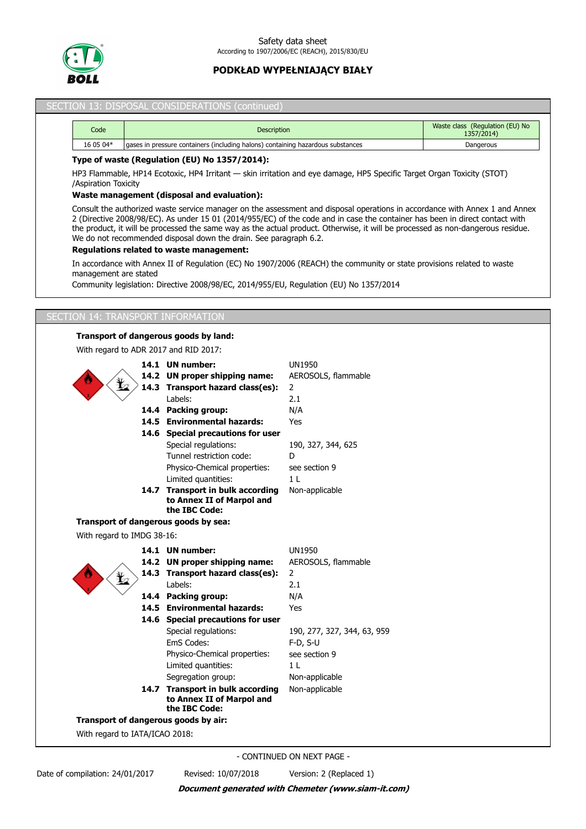

## SECTION 13: DISPOSAL CONSIDERATIONS (continued)

| Code      | <b>Description</b>                                                              | Waste class (Regulation (EU) No<br>1357/2014) |
|-----------|---------------------------------------------------------------------------------|-----------------------------------------------|
| 16 05 04* | gases in pressure containers (including halons) containing hazardous substances | Dangerous                                     |

### **Type of waste (Regulation (EU) No 1357/2014):**

HP3 Flammable, HP14 Ecotoxic, HP4 Irritant — skin irritation and eye damage, HP5 Specific Target Organ Toxicity (STOT) /Aspiration Toxicity

### **Waste management (disposal and evaluation):**

Consult the authorized waste service manager on the assessment and disposal operations in accordance with Annex 1 and Annex 2 (Directive 2008/98/EC). As under 15 01 (2014/955/EC) of the code and in case the container has been in direct contact with the product, it will be processed the same way as the actual product. Otherwise, it will be processed as non-dangerous residue. We do not recommended disposal down the drain. See paragraph 6.2.

#### **Regulations related to waste management:**

In accordance with Annex II of Regulation (EC) No 1907/2006 (REACH) the community or state provisions related to waste management are stated

Community legislation: Directive 2008/98/EC, 2014/955/EU, Regulation (EU) No 1357/2014

# SECTION 14: TRANSPORT INFORMATION

## **Transport of dangerous goods by land:**

With regard to ADR 2017 and RID 2017:

|                                | 14.1 UN number:                            | <b>UN1950</b>               |
|--------------------------------|--------------------------------------------|-----------------------------|
|                                | 14.2 UN proper shipping name:              | AEROSOLS, flammable         |
|                                | 14.3 Transport hazard class(es):           | $\overline{2}$              |
|                                | Labels:                                    | 2.1                         |
|                                | 14.4 Packing group:                        | N/A                         |
|                                | 14.5 Environmental hazards:                | Yes                         |
|                                | 14.6 Special precautions for user          |                             |
|                                | Special regulations:                       | 190, 327, 344, 625          |
|                                | Tunnel restriction code:                   | D                           |
|                                | Physico-Chemical properties:               | see section 9               |
|                                | Limited quantities:                        | 1 <sub>L</sub>              |
|                                | 14.7 Transport in bulk according           | Non-applicable              |
|                                | to Annex II of Marpol and<br>the IBC Code: |                             |
|                                |                                            |                             |
|                                | Transport of dangerous goods by sea:       |                             |
| With regard to IMDG 38-16:     |                                            |                             |
|                                | 14.1 UN number:                            | <b>UN1950</b>               |
|                                | 14.2 UN proper shipping name:              | AEROSOLS, flammable         |
|                                | 14.3 Transport hazard class(es):           | $\mathbf{2}$                |
|                                | Labels:                                    | 2.1                         |
|                                | 14.4 Packing group:                        | N/A                         |
|                                | 14.5 Environmental hazards:                | Yes                         |
|                                | 14.6 Special precautions for user          |                             |
|                                | Special regulations:                       | 190, 277, 327, 344, 63, 959 |
|                                | EmS Codes:                                 | $F-D, S-U$                  |
|                                | Physico-Chemical properties:               | see section 9               |
|                                | Limited quantities:                        | 1 <sub>L</sub>              |
|                                | Segregation group:                         | Non-applicable              |
|                                | 14.7 Transport in bulk according           | Non-applicable              |
|                                | to Annex II of Marpol and<br>the IBC Code: |                             |
|                                | Transport of dangerous goods by air:       |                             |
| With regard to IATA/ICAO 2018: |                                            |                             |
|                                |                                            |                             |

- CONTINUED ON NEXT PAGE -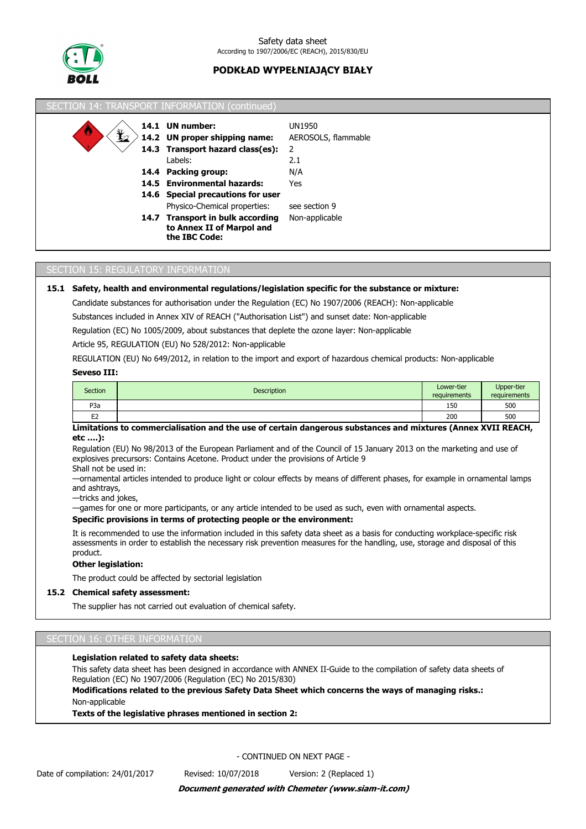

| SECTION 14: TRANSPORT INFORMATION (continued)                              |                                                                                |                     |
|----------------------------------------------------------------------------|--------------------------------------------------------------------------------|---------------------|
|                                                                            | 14.1 UN number:                                                                | UN1950              |
| $\mathbf{\mathbf{\mathbf{\mathbf{\mathbf{\mathbf{\mathbf{\mathbf{t}}}}}}}$ | 14.2 UN proper shipping name:                                                  | AEROSOLS, flammable |
|                                                                            | 14.3 Transport hazard class(es):                                               | 2                   |
|                                                                            | Labels:                                                                        | 2.1                 |
|                                                                            | 14.4 Packing group:                                                            | N/A                 |
|                                                                            | 14.5 Environmental hazards:                                                    | Yes                 |
|                                                                            | 14.6 Special precautions for user                                              |                     |
|                                                                            | Physico-Chemical properties:                                                   | see section 9       |
|                                                                            | 14.7 Transport in bulk according<br>to Annex II of Marpol and<br>the IBC Code: | Non-applicable      |

## SECTION 15: REGULATORY INFORMATION

### **15.1 Safety, health and environmental regulations/legislation specific for the substance or mixture:**

Candidate substances for authorisation under the Regulation (EC) No 1907/2006 (REACH): Non-applicable

Substances included in Annex XIV of REACH ("Authorisation List") and sunset date: Non-applicable

Regulation (EC) No 1005/2009, about substances that deplete the ozone layer: Non-applicable

Article 95, REGULATION (EU) No 528/2012: Non-applicable

REGULATION (EU) No 649/2012, in relation to the import and export of hazardous chemical products: Non-applicable

### **Seveso III:**

| <b>Section</b>   | <b>Description</b> | Lower-tier<br>requirements | Upper-tier<br>requirements |
|------------------|--------------------|----------------------------|----------------------------|
| P <sub>3</sub> a |                    | 150                        | 500                        |
| EЗ<br>ᄂᄼ         |                    | 200                        | 500                        |

## **Limitations to commercialisation and the use of certain dangerous substances and mixtures (Annex XVII REACH, etc ….):**

Regulation (EU) No 98/2013 of the European Parliament and of the Council of 15 January 2013 on the marketing and use of explosives precursors: Contains Acetone. Product under the provisions of Article 9 Shall not be used in:

—ornamental articles intended to produce light or colour effects by means of different phases, for example in ornamental lamps and ashtrays,

—tricks and jokes,

—games for one or more participants, or any article intended to be used as such, even with ornamental aspects.

#### **Specific provisions in terms of protecting people or the environment:**

It is recommended to use the information included in this safety data sheet as a basis for conducting workplace-specific risk assessments in order to establish the necessary risk prevention measures for the handling, use, storage and disposal of this product.

#### **Other legislation:**

The product could be affected by sectorial legislation

## **15.2 Chemical safety assessment:**

The supplier has not carried out evaluation of chemical safety.

#### SECTION 16: OTHER INFORMATION

#### **Legislation related to safety data sheets:**

This safety data sheet has been designed in accordance with ANNEX II-Guide to the compilation of safety data sheets of Regulation (EC) No 1907/2006 (Regulation (EC) No 2015/830)

**Modifications related to the previous Safety Data Sheet which concerns the ways of managing risks.:** Non-applicable

**Texts of the legislative phrases mentioned in section 2:**